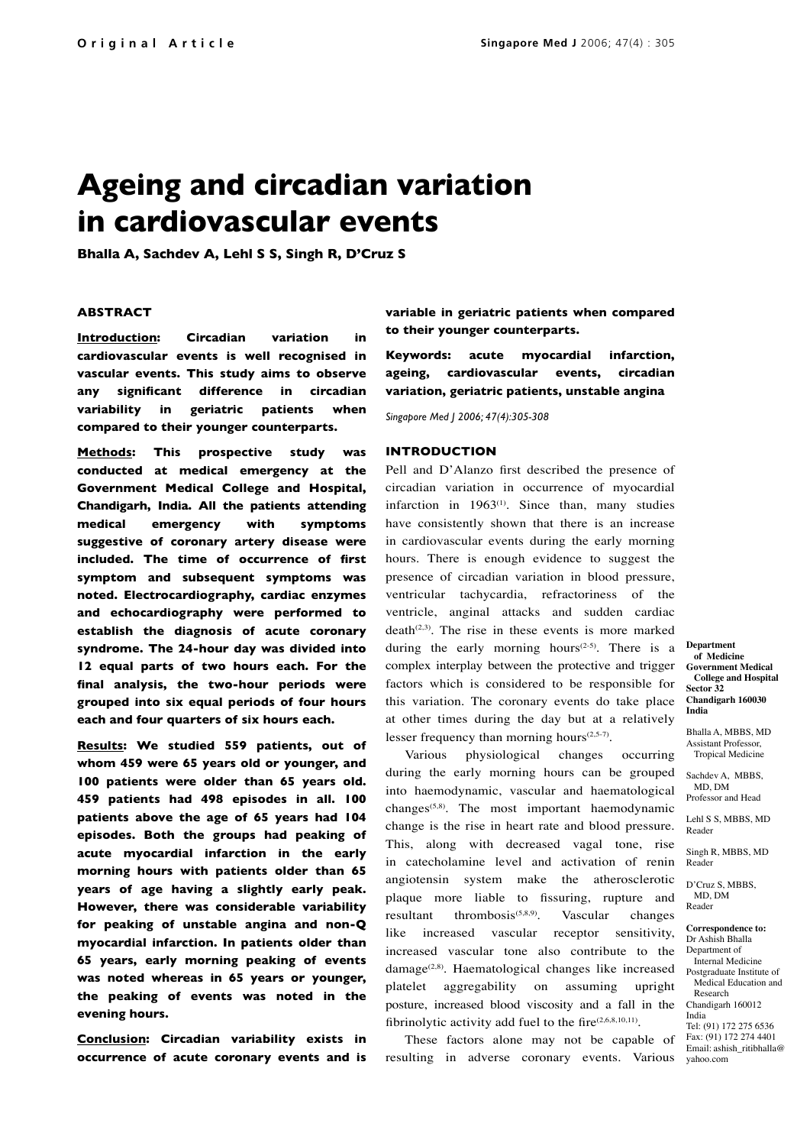# **Ageing and circadian variation in cardiovascular events**

**Bhalla A, Sachdev A, Lehl S S, Singh R, D'Cruz S**

#### **ABSTRACT**

**Introduction: Circadian variation in cardiovascular events is well recognised in vascular events. This study aims to observe any significant difference in circadian variability in geriatric patients when compared to their younger counterparts.**

**Methods: This prospective study was conducted at medical emergency at the Government Medical College and Hospital, Chandigarh, India. All the patients attending medical emergency with symptoms suggestive of coronary artery disease were included. The time of occurrence of first symptom and subsequent symptoms was noted. Electrocardiography, cardiac enzymes and echocardiography were performed to establish the diagnosis of acute coronary syndrome. The 24-hour day was divided into 12 equal parts of two hours each. For the final analysis, the two-hour periods were grouped into six equal periods of four hours each and four quarters of six hours each.**

**Results: We studied 559 patients, out of whom 459 were 65 years old or younger, and 100 patients were older than 65 years old. 459 patients had 498 episodes in all. 100 patients above the age of 65 years had 104 episodes. Both the groups had peaking of acute myocardial infarction in the early morning hours with patients older than 65 years of age having a slightly early peak. However, there was considerable variability for peaking of unstable angina and non-Q myocardial infarction. In patients older than 65 years, early morning peaking of events was noted whereas in 65 years or younger, the peaking of events was noted in the evening hours.**

**Conclusion: Circadian variability exists in occurrence of acute coronary events and is**  **variable in geriatric patients when compared to their younger counterparts.**

**Keywords: acute myocardial infarction, ageing, cardiovascular events, circadian variation, geriatric patients, unstable angina**

*Singapore Med J 2006; 47(4):305-308*

#### **INTRODUCTION**

Pell and D'Alanzo first described the presence of circadian variation in occurrence of myocardial infarction in  $1963^{(1)}$ . Since than, many studies have consistently shown that there is an increase in cardiovascular events during the early morning hours. There is enough evidence to suggest the presence of circadian variation in blood pressure, ventricular tachycardia, refractoriness of the ventricle, anginal attacks and sudden cardiac  $death^{(2,3)}$ . The rise in these events is more marked during the early morning hours<sup> $(2-5)$ </sup>. There is a complex interplay between the protective and trigger factors which is considered to be responsible for this variation. The coronary events do take place at other times during the day but at a relatively lesser frequency than morning hours $(2,5-7)$ .

Various physiological changes occurring during the early morning hours can be grouped into haemodynamic, vascular and haematological changes(5,8). The most important haemodynamic change is the rise in heart rate and blood pressure. This, along with decreased vagal tone, rise in catecholamine level and activation of renin angiotensin system make the atherosclerotic plaque more liable to fissuring, rupture and resultant thrombosis<sup> $(5,8,9)$ </sup>. Vascular changes like increased vascular receptor sensitivity, increased vascular tone also contribute to the damage<sup>(2,8)</sup>. Haematological changes like increased platelet aggregability on assuming upright posture, increased blood viscosity and a fall in the fibrinolytic activity add fuel to the fire $(2,6,8,10,11)$ .

These factors alone may not be capable of resulting in adverse coronary events. Various

**Department of Medicine Government Medical College and Hospital Sector 32 Chandigarh 160030 India** 

Bhalla A, MBBS, MD Assistant Professor, Tropical Medicine

Sachdev A, MBBS, MD, DM Professor and Head

Lehl S S, MBBS, MD Reader

Singh R, MBBS, MD Reader

D'Cruz S, MBBS, MD, DM Reader

**Correspondence to:** Dr Ashish Bhalla Department of Internal Medicine Postgraduate Institute of Medical Education and Research Chandigarh 160012

India Tel: (91) 172 275 6536

Fax: (91) 172 274 4401 Email: ashish\_ritibhalla@ yahoo.com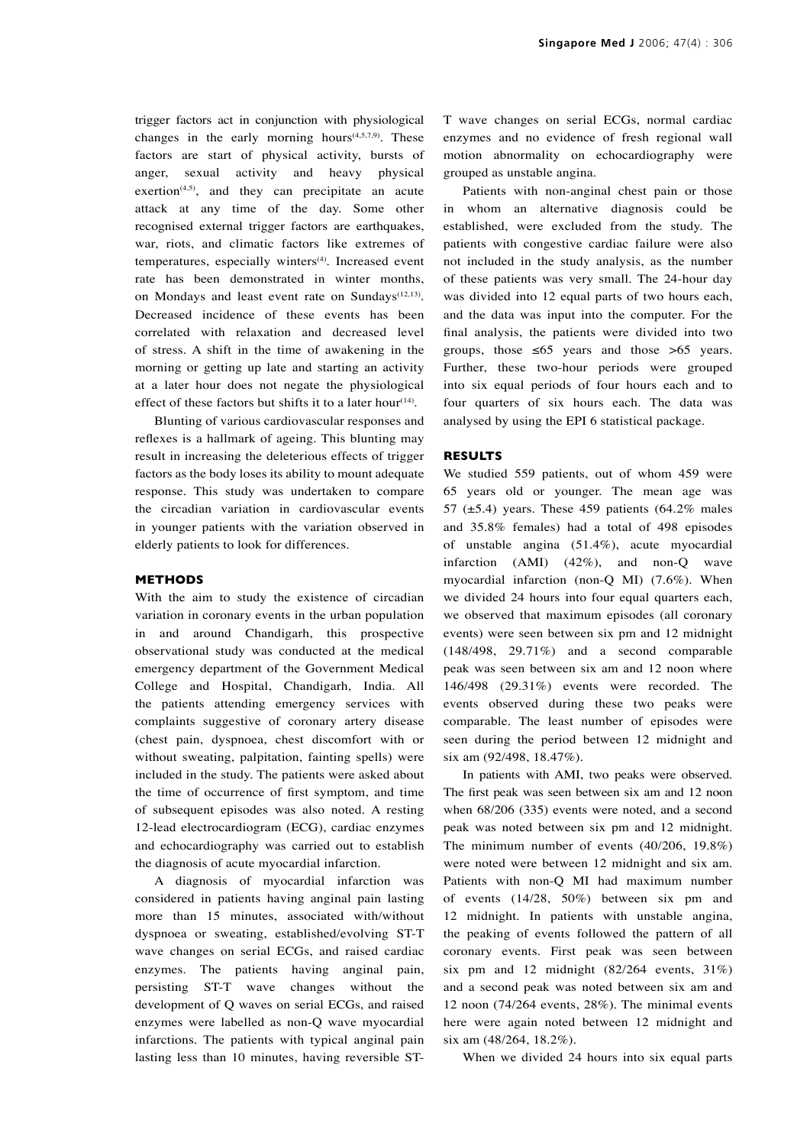trigger factors act in conjunction with physiological changes in the early morning hours<sup> $(4,5,7,9)$ </sup>. These factors are start of physical activity, bursts of anger, sexual activity and heavy physical exertion $(4,5)$ , and they can precipitate an acute attack at any time of the day. Some other recognised external trigger factors are earthquakes, war, riots, and climatic factors like extremes of temperatures, especially winters<sup>(4)</sup>. Increased event rate has been demonstrated in winter months, on Mondays and least event rate on Sundays<sup>(12,13)</sup>. Decreased incidence of these events has been correlated with relaxation and decreased level of stress. A shift in the time of awakening in the morning or getting up late and starting an activity at a later hour does not negate the physiological effect of these factors but shifts it to a later hour<sup>(14)</sup>.

Blunting of various cardiovascular responses and reflexes is a hallmark of ageing. This blunting may result in increasing the deleterious effects of trigger factors as the body loses its ability to mount adequate response. This study was undertaken to compare the circadian variation in cardiovascular events in younger patients with the variation observed in elderly patients to look for differences.

### **METHODS**

With the aim to study the existence of circadian variation in coronary events in the urban population in and around Chandigarh, this prospective observational study was conducted at the medical emergency department of the Government Medical College and Hospital, Chandigarh, India. All the patients attending emergency services with complaints suggestive of coronary artery disease (chest pain, dyspnoea, chest discomfort with or without sweating, palpitation, fainting spells) were included in the study. The patients were asked about the time of occurrence of first symptom, and time of subsequent episodes was also noted. A resting 12-lead electrocardiogram (ECG), cardiac enzymes and echocardiography was carried out to establish the diagnosis of acute myocardial infarction.

A diagnosis of myocardial infarction was considered in patients having anginal pain lasting more than 15 minutes, associated with/without dyspnoea or sweating, established/evolving ST-T wave changes on serial ECGs, and raised cardiac enzymes. The patients having anginal pain, persisting ST-T wave changes without the development of Q waves on serial ECGs, and raised enzymes were labelled as non-Q wave myocardial infarctions. The patients with typical anginal pain lasting less than 10 minutes, having reversible ST-

T wave changes on serial ECGs, normal cardiac enzymes and no evidence of fresh regional wall motion abnormality on echocardiography were grouped as unstable angina.

Patients with non-anginal chest pain or those in whom an alternative diagnosis could be established, were excluded from the study. The patients with congestive cardiac failure were also not included in the study analysis, as the number of these patients was very small. The 24-hour day was divided into 12 equal parts of two hours each, and the data was input into the computer. For the final analysis, the patients were divided into two groups, those  $\leq 65$  years and those  $> 65$  years. Further, these two-hour periods were grouped into six equal periods of four hours each and to four quarters of six hours each. The data was analysed by using the EPI 6 statistical package.

### **RESULTS**

We studied 559 patients, out of whom 459 were 65 years old or younger. The mean age was 57 ( $\pm$ 5.4) years. These 459 patients (64.2% males and 35.8% females) had a total of 498 episodes of unstable angina (51.4%), acute myocardial infarction (AMI) (42%), and non-Q wave myocardial infarction (non-Q MI) (7.6%). When we divided 24 hours into four equal quarters each, we observed that maximum episodes (all coronary events) were seen between six pm and 12 midnight (148/498, 29.71%) and a second comparable peak was seen between six am and 12 noon where 146/498 (29.31%) events were recorded. The events observed during these two peaks were comparable. The least number of episodes were seen during the period between 12 midnight and six am (92/498, 18.47%).

In patients with AMI, two peaks were observed. The first peak was seen between six am and 12 noon when 68/206 (335) events were noted, and a second peak was noted between six pm and 12 midnight. The minimum number of events (40/206, 19.8%) were noted were between 12 midnight and six am. Patients with non-Q MI had maximum number of events (14/28, 50%) between six pm and 12 midnight. In patients with unstable angina, the peaking of events followed the pattern of all coronary events. First peak was seen between six pm and 12 midnight  $(82/264$  events,  $31\%)$ and a second peak was noted between six am and 12 noon (74/264 events, 28%). The minimal events here were again noted between 12 midnight and six am (48/264, 18.2%).

When we divided 24 hours into six equal parts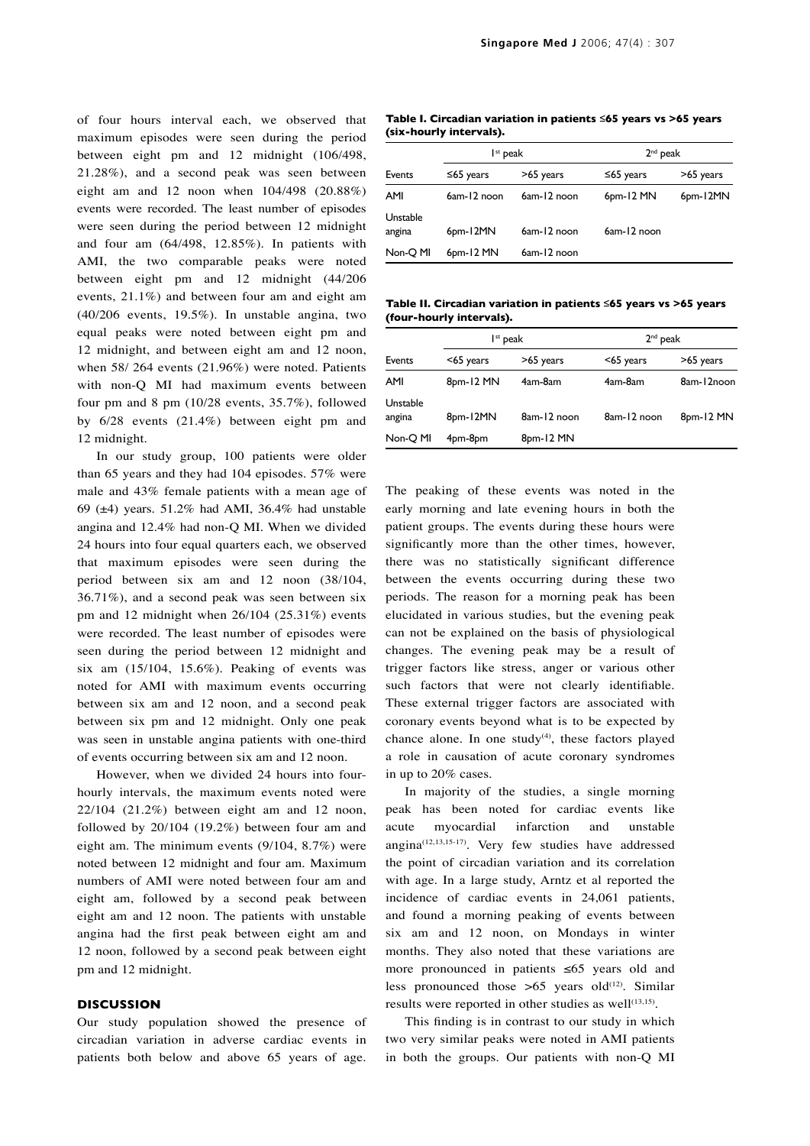of four hours interval each, we observed that maximum episodes were seen during the period between eight pm and 12 midnight (106/498, 21.28%), and a second peak was seen between eight am and 12 noon when 104/498 (20.88%) events were recorded. The least number of episodes were seen during the period between 12 midnight and four am (64/498, 12.85%). In patients with AMI, the two comparable peaks were noted between eight pm and 12 midnight (44/206 events, 21.1%) and between four am and eight am (40/206 events, 19.5%). In unstable angina, two equal peaks were noted between eight pm and 12 midnight, and between eight am and 12 noon, when 58/ 264 events (21.96%) were noted. Patients with non-Q MI had maximum events between four pm and 8 pm (10/28 events, 35.7%), followed by 6/28 events (21.4%) between eight pm and 12 midnight.

In our study group, 100 patients were older than 65 years and they had 104 episodes. 57% were male and 43% female patients with a mean age of 69 ( $\pm$ 4) years. 51.2% had AMI, 36.4% had unstable angina and 12.4% had non-Q MI. When we divided 24 hours into four equal quarters each, we observed that maximum episodes were seen during the period between six am and 12 noon (38/104, 36.71%), and a second peak was seen between six pm and 12 midnight when 26/104 (25.31%) events were recorded. The least number of episodes were seen during the period between 12 midnight and six am  $(15/104, 15.6\%)$ . Peaking of events was noted for AMI with maximum events occurring between six am and 12 noon, and a second peak between six pm and 12 midnight. Only one peak was seen in unstable angina patients with one-third of events occurring between six am and 12 noon.

However, when we divided 24 hours into fourhourly intervals, the maximum events noted were 22/104 (21.2%) between eight am and 12 noon, followed by 20/104 (19.2%) between four am and eight am. The minimum events (9/104, 8.7%) were noted between 12 midnight and four am. Maximum numbers of AMI were noted between four am and eight am, followed by a second peak between eight am and 12 noon. The patients with unstable angina had the first peak between eight am and 12 noon, followed by a second peak between eight pm and 12 midnight.

## **DISCUSSION**

Our study population showed the presence of circadian variation in adverse cardiac events in patients both below and above 65 years of age.

**Table I. Circadian variation in patients ≤65 years vs >65 years (six-hourly intervals).**

| Events             | $Ist$ peak  |             | $2nd$ peak  |           |
|--------------------|-------------|-------------|-------------|-----------|
|                    | ≤65 years   | >65 years   | ≤65 years   | >65 years |
| AMI                | 6am-12 noon | 6am-12 noon | $6pm-12$ MN | 6pm-12MN  |
| Unstable<br>angina | 6pm-12MN    | 6am-12 noon | 6am-12 noon |           |
| Non-Q MI           | 6pm-12 MN   | 6am-12 noon |             |           |

**Table II. Circadian variation in patients ≤65 years vs >65 years (four-hourly intervals).**

| Events             | I <sup>st</sup> peak |             | $2nd$ peak   |            |
|--------------------|----------------------|-------------|--------------|------------|
|                    | $<$ 65 years         | >65 years   | $<$ 65 years | >65 years  |
| AMI                | 8pm-12 MN            | 4am-8am     | 4am-8am      | 8am-12noon |
| Unstable<br>angina | 8pm-12MN             | 8am-12 noon | 8am-12 noon  | 8pm-12 MN  |
| Non-Q MI           | 4pm-8pm              | 8pm-12 MN   |              |            |

The peaking of these events was noted in the early morning and late evening hours in both the patient groups. The events during these hours were significantly more than the other times, however, there was no statistically significant difference between the events occurring during these two periods. The reason for a morning peak has been elucidated in various studies, but the evening peak can not be explained on the basis of physiological changes. The evening peak may be a result of trigger factors like stress, anger or various other such factors that were not clearly identifiable. These external trigger factors are associated with coronary events beyond what is to be expected by chance alone. In one study<sup>(4)</sup>, these factors played a role in causation of acute coronary syndromes in up to 20% cases.

In majority of the studies, a single morning peak has been noted for cardiac events like acute myocardial infarction and unstable angina(12,13,15-17). Very few studies have addressed the point of circadian variation and its correlation with age. In a large study, Arntz et al reported the incidence of cardiac events in 24,061 patients, and found a morning peaking of events between six am and 12 noon, on Mondays in winter months. They also noted that these variations are more pronounced in patients ≤65 years old and less pronounced those  $>65$  years old<sup>(12)</sup>. Similar results were reported in other studies as well $(13,15)$ .

This finding is in contrast to our study in which two very similar peaks were noted in AMI patients in both the groups. Our patients with non-Q MI